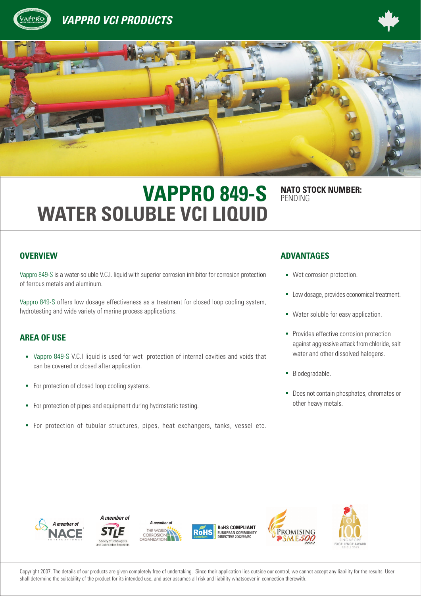





# **VAPPRO 849-S** NATO STOCK NUMBER: **WATER SOLUBLE VCI LIQUID**

PENDING

Vappro 849-S is a water-soluble V.C.I. liquid with superior corrosion inhibitor for corrosion protection of ferrous metals and aluminum.

Vappro 849-S offers low dosage effectiveness as a treatment for closed loop cooling system, hydrotesting and wide variety of marine process applications.

### **AREA OF USE**

- Vappro 849-S V.C.I liquid is used for wet protection of internal cavities and voids that can be covered or closed after application.
- For protection of closed loop cooling systems. à,
- $\blacksquare$ For protection of pipes and equipment during hydrostatic testing.
- For protection of tubular structures, pipes, heat exchangers, tanks, vessel etc. à,

# **OVERVIEW ADVANTAGES**

- **Wet corrosion protection.**
- Low dosage, provides economical treatment.
- **Water soluble for easy application.**
- **Provides effective corrosion protection** against aggressive attack from chloride, salt water and other dissolved halogens.
- **Biodegradable.**
- Does not contain phosphates, chromates or other heavy metals.













Copyright 2007. The details of our products are given completely free of undertaking. Since their application lies outside our control, we cannot accept any liability for the results. User shall determine the suitability of the product for its intended use, and user assumes all risk and liability whatsoever in connection therewith.